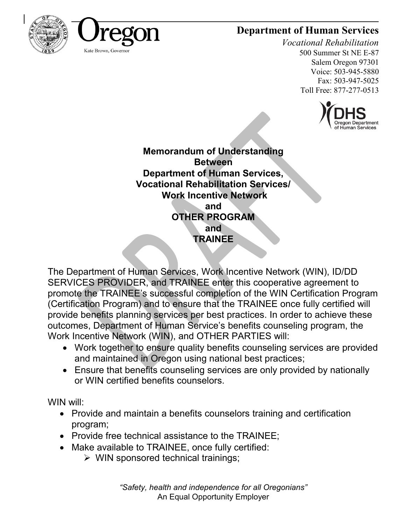## **Department of Human Services**





# *Vocational Rehabilitation*

500 Summer St NE E-87 Salem Oregon 97301 Voice: 503-945-5880 Fax: 503-947-5025 Toll Free: 877-277-0513



**Memorandum of Understanding Between Department of Human Services, Vocational Rehabilitation Services/ Work Incentive Network and OTHER PROGRAM and TRAINEE**

The Department of Human Services, Work Incentive Network (WIN), ID/DD SERVICES PROVIDER, and TRAINEE enter this cooperative agreement to promote the TRAINEE's successful completion of the WIN Certification Program (Certification Program) and to ensure that the TRAINEE once fully certified will provide benefits planning services per best practices. In order to achieve these outcomes, Department of Human Service's benefits counseling program, the Work Incentive Network (WIN), and OTHER PARTIES will:

- Work together to ensure quality benefits counseling services are provided and maintained in Oregon using national best practices;
- Ensure that benefits counseling services are only provided by nationally or WIN certified benefits counselors.

WIN will:

- Provide and maintain a benefits counselors training and certification program;
- Provide free technical assistance to the TRAINEE;
- Make available to TRAINEE, once fully certified:
	- ➢ WIN sponsored technical trainings;

*"Safety, health and independence for all Oregonians"* An Equal Opportunity Employer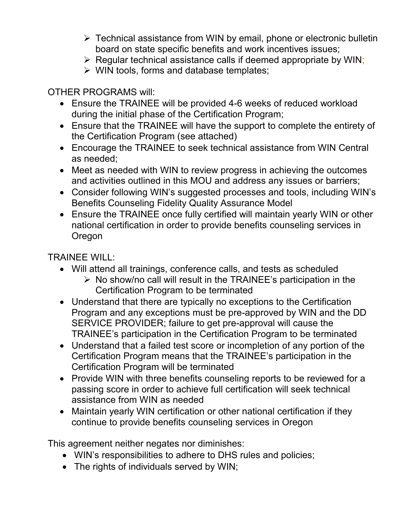- ➢ Technical assistance from WIN by email, phone or electronic bulletin board on state specific benefits and work incentives issues;
- ➢ Regular technical assistance calls if deemed appropriate by WIN;
- ➢ WIN tools, forms and database templates;

#### OTHER PROGRAMS will:

- Ensure the TRAINEE will be provided 4-6 weeks of reduced workload during the initial phase of the Certification Program;
- Ensure that the TRAINEE will have the support to complete the entirety of the Certification Program (see attached)
- Encourage the TRAINEE to seek technical assistance from WIN Central as needed;
- Meet as needed with WIN to review progress in achieving the outcomes and activities outlined in this MOU and address any issues or barriers;
- Consider following WIN's suggested processes and tools, including WIN's Benefits Counseling Fidelity Quality Assurance Model
- Ensure the TRAINEE once fully certified will maintain yearly WIN or other national certification in order to provide benefits counseling services in Oregon

### TRAINEE WILL:

- Will attend all trainings, conference calls, and tests as scheduled
	- ➢ No show/no call will result in the TRAINEE's participation in the Certification Program to be terminated
- Understand that there are typically no exceptions to the Certification Program and any exceptions must be pre-approved by WIN and the DD SERVICE PROVIDER; failure to get pre-approval will cause the TRAINEE's participation in the Certification Program to be terminated
- Understand that a failed test score or incompletion of any portion of the Certification Program means that the TRAINEE's participation in the Certification Program will be terminated
- Provide WIN with three benefits counseling reports to be reviewed for a passing score in order to achieve full certification will seek technical assistance from WIN as needed
- Maintain yearly WIN certification or other national certification if they continue to provide benefits counseling services in Oregon

This agreement neither negates nor diminishes:

- WIN's responsibilities to adhere to DHS rules and policies;
- The rights of individuals served by WIN: